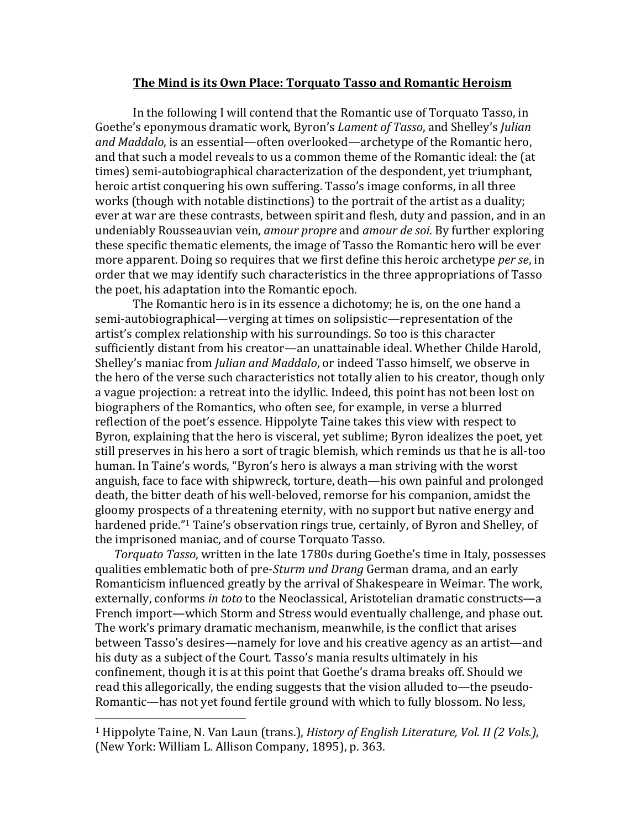## **The Mind is its Own Place: Torquato Tasso and Romantic Heroism**

In the following I will contend that the Romantic use of Torquato Tasso, in Goethe's eponymous dramatic work, Byron's *Lament of Tasso*, and Shelley's *Julian and Maddalo*, is an essential—often overlooked—archetype of the Romantic hero, and that such a model reveals to us a common theme of the Romantic ideal: the (at times) semi-autobiographical characterization of the despondent, yet triumphant, heroic artist conquering his own suffering. Tasso's image conforms, in all three works (though with notable distinctions) to the portrait of the artist as a duality; ever at war are these contrasts, between spirit and flesh, duty and passion, and in an undeniably Rousseauvian vein, *amour propre* and *amour de soi*. By further exploring these specific thematic elements, the image of Tasso the Romantic hero will be ever more apparent. Doing so requires that we first define this heroic archetype *per se*, in order that we may identify such characteristics in the three appropriations of Tasso the poet, his adaptation into the Romantic epoch.

The Romantic hero is in its essence a dichotomy; he is, on the one hand a semi-autobiographical—verging at times on solipsistic—representation of the artist's complex relationship with his surroundings. So too is this character sufficiently distant from his creator—an unattainable ideal. Whether Childe Harold, Shelley's maniac from *Julian and Maddalo*, or indeed Tasso himself, we observe in the hero of the verse such characteristics not totally alien to his creator, though only a vague projection: a retreat into the idyllic. Indeed, this point has not been lost on biographers of the Romantics, who often see, for example, in verse a blurred reflection of the poet's essence. Hippolyte Taine takes this view with respect to Byron, explaining that the hero is visceral, yet sublime; Byron idealizes the poet, yet still preserves in his hero a sort of tragic blemish, which reminds us that he is all-too human. In Taine's words, "Byron's hero is always a man striving with the worst anguish, face to face with shipwreck, torture, death—his own painful and prolonged death, the bitter death of his well-beloved, remorse for his companion, amidst the gloomy prospects of a threatening eternity, with no support but native energy and hardened pride."<sup>1</sup> Taine's observation rings true, certainly, of Byron and Shelley, of the imprisoned maniac, and of course Torquato Tasso.

*Torquato Tasso*, written in the late 1780s during Goethe's time in Italy, possesses qualities emblematic both of pre-*Sturm und Drang* German drama, and an early Romanticism influenced greatly by the arrival of Shakespeare in Weimar. The work, externally, conforms *in toto* to the Neoclassical, Aristotelian dramatic constructs—a French import—which Storm and Stress would eventually challenge, and phase out. The work's primary dramatic mechanism, meanwhile, is the conflict that arises between Tasso's desires—namely for love and his creative agency as an artist—and his duty as a subject of the Court. Tasso's mania results ultimately in his confinement, though it is at this point that Goethe's drama breaks off. Should we read this allegorically, the ending suggests that the vision alluded to—the pseudo-Romantic—has not yet found fertile ground with which to fully blossom. No less,

<sup>&</sup>lt;sup>1</sup> Hippolyte Taine, N. Van Laun (trans.), *History of English Literature, Vol. II (2 Vols.)*, (New York: William L. Allison Company, 1895), p. 363.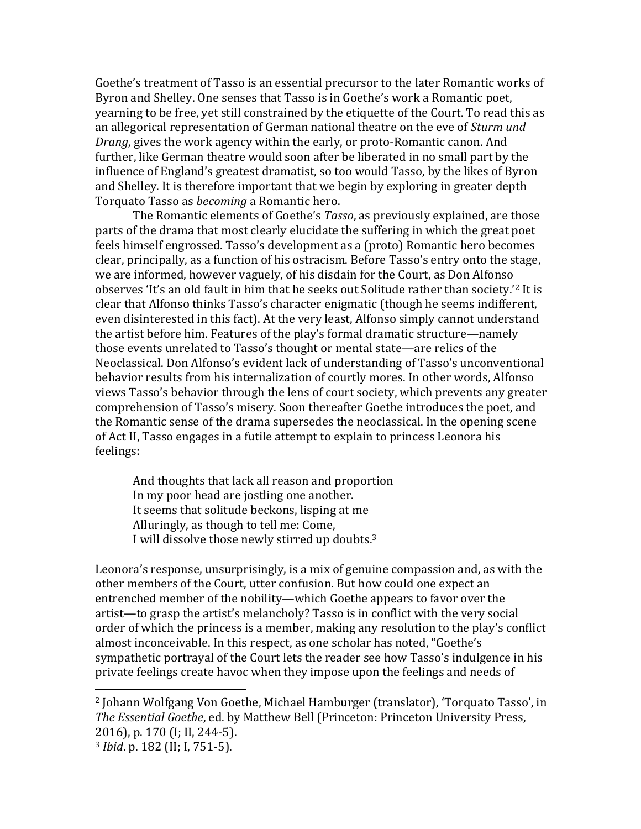Goethe's treatment of Tasso is an essential precursor to the later Romantic works of Byron and Shelley. One senses that Tasso is in Goethe's work a Romantic poet, yearning to be free, yet still constrained by the etiquette of the Court. To read this as an allegorical representation of German national theatre on the eve of *Sturm und Drang*, gives the work agency within the early, or proto-Romantic canon. And further, like German theatre would soon after be liberated in no small part by the influence of England's greatest dramatist, so too would Tasso, by the likes of Byron and Shelley. It is therefore important that we begin by exploring in greater depth Torquato Tasso as *becoming* a Romantic hero. 

The Romantic elements of Goethe's *Tasso*, as previously explained, are those parts of the drama that most clearly elucidate the suffering in which the great poet feels himself engrossed. Tasso's development as a (proto) Romantic hero becomes clear, principally, as a function of his ostracism. Before Tasso's entry onto the stage, we are informed, however vaguely, of his disdain for the Court, as Don Alfonso observes 'It's an old fault in him that he seeks out Solitude rather than society.'<sup>2</sup> It is clear that Alfonso thinks Tasso's character enigmatic (though he seems indifferent, even disinterested in this fact). At the very least, Alfonso simply cannot understand the artist before him. Features of the play's formal dramatic structure—namely those events unrelated to Tasso's thought or mental state—are relics of the Neoclassical. Don Alfonso's evident lack of understanding of Tasso's unconventional behavior results from his internalization of courtly mores. In other words, Alfonso views Tasso's behavior through the lens of court society, which prevents any greater comprehension of Tasso's misery. Soon thereafter Goethe introduces the poet, and the Romantic sense of the drama supersedes the neoclassical. In the opening scene of Act II, Tasso engages in a futile attempt to explain to princess Leonora his feelings: 

And thoughts that lack all reason and proportion In my poor head are jostling one another. It seems that solitude beckons, lisping at me Alluringly, as though to tell me: Come, I will dissolve those newly stirred up doubts.<sup>3</sup>

Leonora's response, unsurprisingly, is a mix of genuine compassion and, as with the other members of the Court, utter confusion. But how could one expect an entrenched member of the nobility—which Goethe appears to favor over the artist—to grasp the artist's melancholy? Tasso is in conflict with the very social order of which the princess is a member, making any resolution to the play's conflict almost inconceivable. In this respect, as one scholar has noted, "Goethe's sympathetic portrayal of the Court lets the reader see how Tasso's indulgence in his private feelings create havoc when they impose upon the feelings and needs of

<sup>&</sup>lt;sup>2</sup> Johann Wolfgang Von Goethe, Michael Hamburger (translator), 'Torquato Tasso', in *The Essential Goethe, ed. by Matthew Bell (Princeton: Princeton University Press,* 2016), p. 170 (I; II, 244-5).

<sup>&</sup>lt;sup>3</sup> *Ibid.* p. 182 (II; I, 751-5).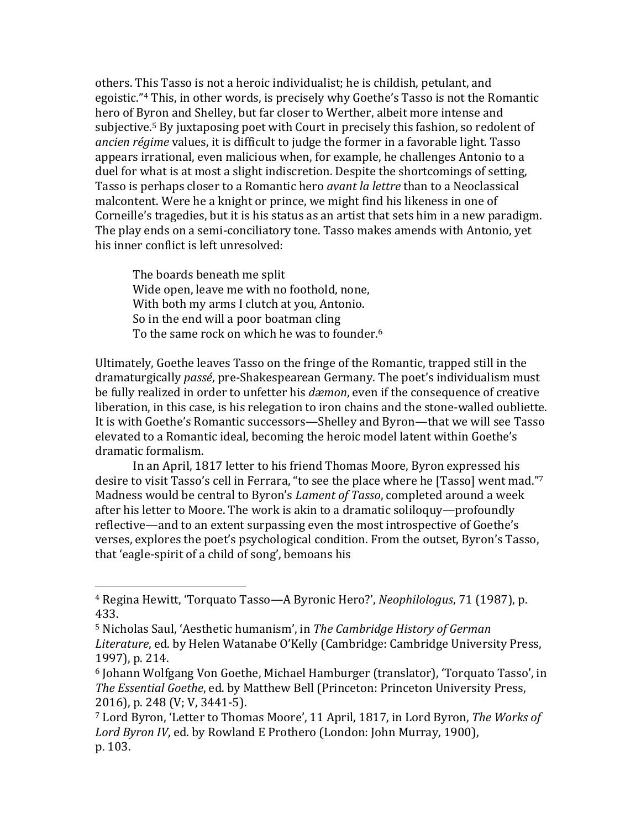others. This Tasso is not a heroic individualist; he is childish, petulant, and egoistic."<sup>4</sup> This, in other words, is precisely why Goethe's Tasso is not the Romantic hero of Byron and Shelley, but far closer to Werther, albeit more intense and subjective.<sup>5</sup> By juxtaposing poet with Court in precisely this fashion, so redolent of *ancien régime* values, it is difficult to judge the former in a favorable light. Tasso appears irrational, even malicious when, for example, he challenges Antonio to a duel for what is at most a slight indiscretion. Despite the shortcomings of setting, Tasso is perhaps closer to a Romantic hero *avant la lettre* than to a Neoclassical malcontent. Were he a knight or prince, we might find his likeness in one of Corneille's tragedies, but it is his status as an artist that sets him in a new paradigm. The play ends on a semi-conciliatory tone. Tasso makes amends with Antonio, yet his inner conflict is left unresolved:

The boards beneath me split Wide open, leave me with no foothold, none, With both my arms I clutch at you, Antonio. So in the end will a poor boatman cling To the same rock on which he was to founder.<sup>6</sup>

Ultimately, Goethe leaves Tasso on the fringe of the Romantic, trapped still in the dramaturgically *passé*, pre-Shakespearean Germany. The poet's individualism must be fully realized in order to unfetter his *dæmon*, even if the consequence of creative liberation, in this case, is his relegation to iron chains and the stone-walled oubliette. It is with Goethe's Romantic successors—Shelley and Byron—that we will see Tasso elevated to a Romantic ideal, becoming the heroic model latent within Goethe's dramatic formalism. 

In an April, 1817 letter to his friend Thomas Moore, Byron expressed his desire to visit Tasso's cell in Ferrara, "to see the place where he [Tasso] went mad."7 Madness would be central to Byron's *Lament of Tasso*, completed around a week after his letter to Moore. The work is akin to a dramatic soliloquy—profoundly reflective—and to an extent surpassing even the most introspective of Goethe's verses, explores the poet's psychological condition. From the outset, Byron's Tasso, that 'eagle-spirit of a child of song', bemoans his

<sup>&</sup>lt;sup>4</sup> Regina Hewitt, 'Torquato Tasso—A Byronic Hero?', *Neophilologus*, 71 (1987), p. 433.

<sup>&</sup>lt;sup>5</sup> Nicholas Saul, 'Aesthetic humanism', in *The Cambridge History of German Literature*, ed. by Helen Watanabe O'Kelly (Cambridge: Cambridge University Press, 1997), p. 214.

<sup>&</sup>lt;sup>6</sup> Johann Wolfgang Von Goethe, Michael Hamburger (translator), 'Torquato Tasso', in *The Essential Goethe, ed. by Matthew Bell (Princeton: Princeton University Press,* 2016), p. 248 (V; V, 3441-5).

<sup>&</sup>lt;sup>7</sup> Lord Byron, 'Letter to Thomas Moore', 11 April, 1817, in Lord Byron, *The Works of Lord Byron IV*, ed. by Rowland E Prothero (London: John Murray, 1900), p. 103.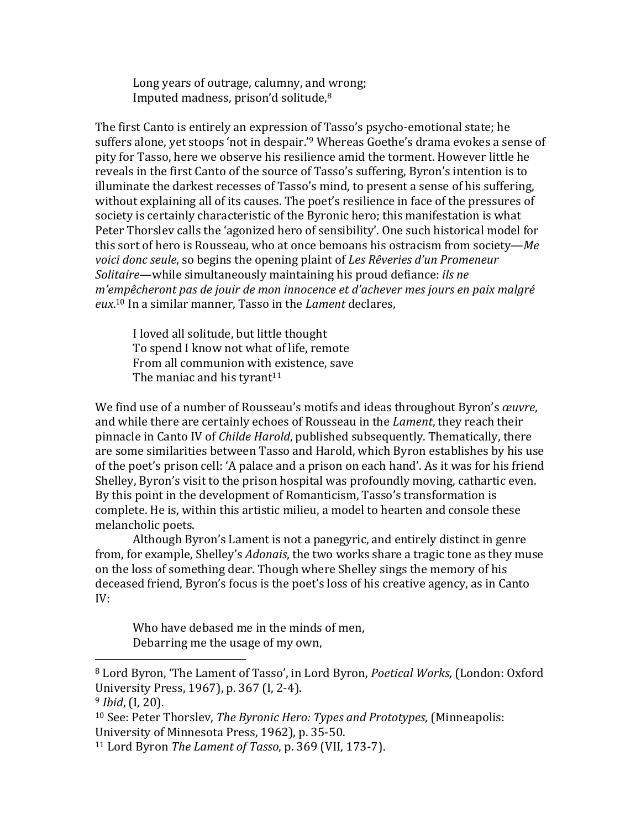Long years of outrage, calumny, and wrong; Imputed madness, prison'd solitude, $8$ 

The first Canto is entirely an expression of Tasso's psycho-emotional state; he suffers alone, yet stoops 'not in despair.'<sup>9</sup> Whereas Goethe's drama evokes a sense of pity for Tasso, here we observe his resilience amid the torment. However little he reveals in the first Canto of the source of Tasso's suffering, Byron's intention is to illuminate the darkest recesses of Tasso's mind, to present a sense of his suffering, without explaining all of its causes. The poet's resilience in face of the pressures of society is certainly characteristic of the Byronic hero; this manifestation is what Peter Thorslev calls the 'agonized hero of sensibility'. One such historical model for this sort of hero is Rousseau, who at once bemoans his ostracism from society—*Me voici donc seule*, so begins the opening plaint of *Les Rêveries d'un Promeneur Solitaire*—while simultaneously maintaining his proud defiance: *ils ne m'empêcheront pas de jouir de mon innocence et d'achever mes jours en paix malgré* eux.<sup>10</sup> In a similar manner, Tasso in the *Lament* declares,

I loved all solitude, but little thought To spend I know not what of life, remote From all communion with existence, save The maniac and his tyrant<sup>11</sup>

We find use of a number of Rousseau's motifs and ideas throughout Byron's *œuvre*, and while there are certainly echoes of Rousseau in the *Lament*, they reach their pinnacle in Canto IV of *Childe Harold*, published subsequently. Thematically, there are some similarities between Tasso and Harold, which Byron establishes by his use of the poet's prison cell: 'A palace and a prison on each hand'. As it was for his friend Shelley, Byron's visit to the prison hospital was profoundly moving, cathartic even. By this point in the development of Romanticism, Tasso's transformation is complete. He is, within this artistic milieu, a model to hearten and console these melancholic poets.

Although Byron's Lament is not a panegyric, and entirely distinct in genre from, for example, Shelley's *Adonais*, the two works share a tragic tone as they muse on the loss of something dear. Though where Shelley sings the memory of his deceased friend, Byron's focus is the poet's loss of his creative agency, as in Canto IV:

Who have debased me in the minds of men, Debarring me the usage of my own,

<sup>&</sup>lt;sup>8</sup> Lord Byron, 'The Lament of Tasso', in Lord Byron, *Poetical Works*, (London: Oxford University Press, 1967), p. 367 (I, 2-4).

<sup>&</sup>lt;sup>9</sup> *Ibid*, (I, 20).

<sup>&</sup>lt;sup>10</sup> See: Peter Thorslev, *The Byronic Hero: Types and Prototypes*, (Minneapolis: University of Minnesota Press, 1962), p. 35-50.

<sup>&</sup>lt;sup>11</sup> Lord Byron *The Lament of Tasso*, p. 369 (VII, 173-7).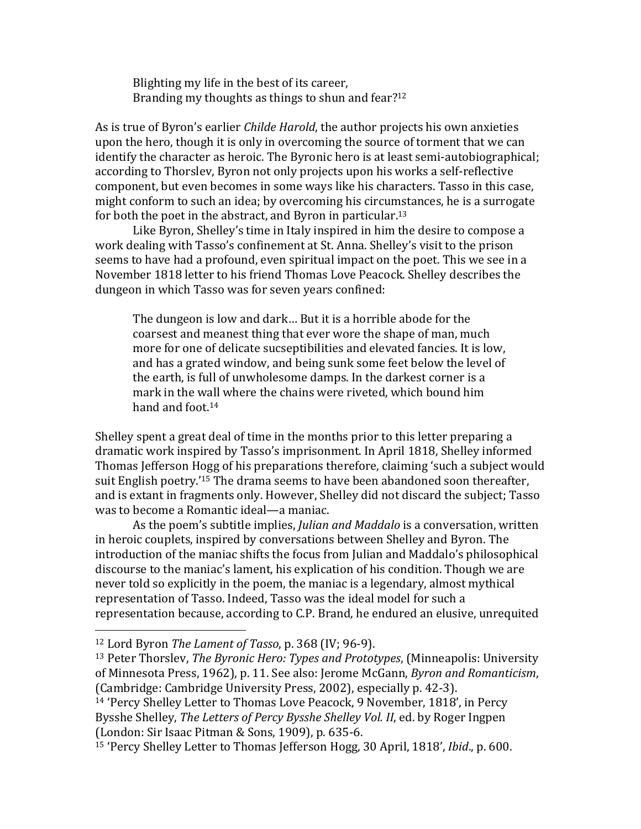Blighting my life in the best of its career, Branding my thoughts as things to shun and fear? $12$ 

As is true of Byron's earlier *Childe Harold*, the author projects his own anxieties upon the hero, though it is only in overcoming the source of torment that we can identify the character as heroic. The Byronic hero is at least semi-autobiographical; according to Thorslev, Byron not only projects upon his works a self-reflective component, but even becomes in some ways like his characters. Tasso in this case, might conform to such an idea; by overcoming his circumstances, he is a surrogate for both the poet in the abstract, and Byron in particular.<sup>13</sup>

Like Byron, Shelley's time in Italy inspired in him the desire to compose a work dealing with Tasso's confinement at St. Anna. Shelley's visit to the prison seems to have had a profound, even spiritual impact on the poet. This we see in a November 1818 letter to his friend Thomas Love Peacock. Shelley describes the dungeon in which Tasso was for seven years confined:

The dungeon is low and dark... But it is a horrible abode for the coarsest and meanest thing that ever wore the shape of man, much more for one of delicate sucseptibilities and elevated fancies. It is low, and has a grated window, and being sunk some feet below the level of the earth, is full of unwholesome damps. In the darkest corner is a mark in the wall where the chains were riveted, which bound him hand and foot. $14$ 

Shelley spent a great deal of time in the months prior to this letter preparing a dramatic work inspired by Tasso's imprisonment. In April 1818, Shelley informed Thomas Jefferson Hogg of his preparations therefore, claiming 'such a subject would suit English poetry.'<sup>15</sup> The drama seems to have been abandoned soon thereafter, and is extant in fragments only. However, Shelley did not discard the subject; Tasso was to become a Romantic ideal—a maniac.

As the poem's subtitle implies, *Julian and Maddalo* is a conversation, written in heroic couplets, inspired by conversations between Shelley and Byron. The introduction of the maniac shifts the focus from Julian and Maddalo's philosophical discourse to the maniac's lament, his explication of his condition. Though we are never told so explicitly in the poem, the maniac is a legendary, almost mythical representation of Tasso. Indeed, Tasso was the ideal model for such a representation because, according to C.P. Brand, he endured an elusive, unrequited

<sup>&</sup>lt;sup>12</sup> Lord Byron *The Lament of Tasso*, p. 368 (IV; 96-9).

<sup>&</sup>lt;sup>13</sup> Peter Thorslev, *The Byronic Hero: Types and Prototypes*, (Minneapolis: University of Minnesota Press, 1962), p. 11. See also: Jerome McGann, *Byron and Romanticism*, (Cambridge: Cambridge University Press, 2002), especially p. 42-3).

<sup>&</sup>lt;sup>14</sup> 'Percy Shelley Letter to Thomas Love Peacock, 9 November, 1818', in Percy Bysshe Shelley, *The Letters of Percy Bysshe Shelley Vol. II*, ed. by Roger Ingpen  $(London: Sir Isaac Pitman & Sons, 1909)$ , p.  $635-6$ .

<sup>&</sup>lt;sup>15</sup> 'Percy Shelley Letter to Thomas Jefferson Hogg, 30 April, 1818', *Ibid.*, p. 600.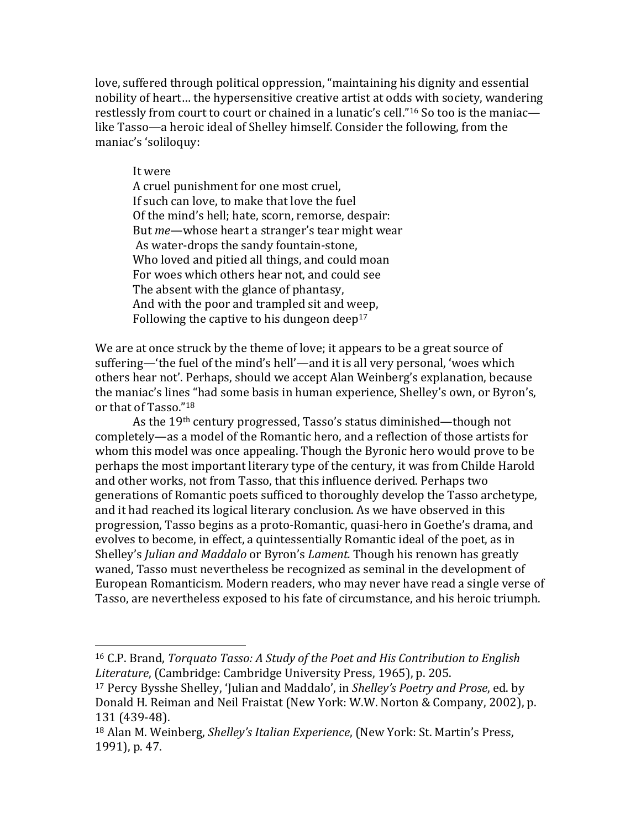love, suffered through political oppression, "maintaining his dignity and essential nobility of heart... the hypersensitive creative artist at odds with society, wandering restlessly from court to court or chained in a lunatic's cell."<sup>16</sup> So too is the maniaclike Tasso—a heroic ideal of Shelley himself. Consider the following, from the maniac's 'soliloquy:

## It were

 

A cruel punishment for one most cruel, If such can love, to make that love the fuel Of the mind's hell; hate, scorn, remorse, despair: But *me*—whose heart a stranger's tear might wear As water-drops the sandy fountain-stone, Who loved and pitied all things, and could moan For woes which others hear not, and could see The absent with the glance of phantasy. And with the poor and trampled sit and weep, Following the captive to his dungeon deep<sup>17</sup>

We are at once struck by the theme of love; it appears to be a great source of suffering—'the fuel of the mind's hell'—and it is all very personal, 'woes which others hear not'. Perhaps, should we accept Alan Weinberg's explanation, because the maniac's lines "had some basis in human experience, Shelley's own, or Byron's, or that of Tasso."<sup>18</sup>

As the  $19<sup>th</sup>$  century progressed, Tasso's status diminished—though not completely—as a model of the Romantic hero, and a reflection of those artists for whom this model was once appealing. Though the Byronic hero would prove to be perhaps the most important literary type of the century, it was from Childe Harold and other works, not from Tasso, that this influence derived. Perhaps two generations of Romantic poets sufficed to thoroughly develop the Tasso archetype, and it had reached its logical literary conclusion. As we have observed in this progression, Tasso begins as a proto-Romantic, quasi-hero in Goethe's drama, and evolves to become, in effect, a quintessentially Romantic ideal of the poet, as in Shelley's *Julian and Maddalo* or Byron's *Lament*. Though his renown has greatly waned, Tasso must nevertheless be recognized as seminal in the development of European Romanticism. Modern readers, who may never have read a single verse of Tasso, are nevertheless exposed to his fate of circumstance, and his heroic triumph.

<sup>&</sup>lt;sup>16</sup> C.P. Brand, *Torquato Tasso: A Study of the Poet and His Contribution to English* Literature, (Cambridge: Cambridge University Press, 1965), p. 205.

<sup>&</sup>lt;sup>17</sup> Percy Bysshe Shelley, 'Julian and Maddalo', in *Shelley's Poetry and Prose*, ed. by Donald H. Reiman and Neil Fraistat (New York: W.W. Norton & Company, 2002), p. 131 (439-48).

<sup>&</sup>lt;sup>18</sup> Alan M. Weinberg, *Shelley's Italian Experience*, (New York: St. Martin's Press, 1991), p. 47.